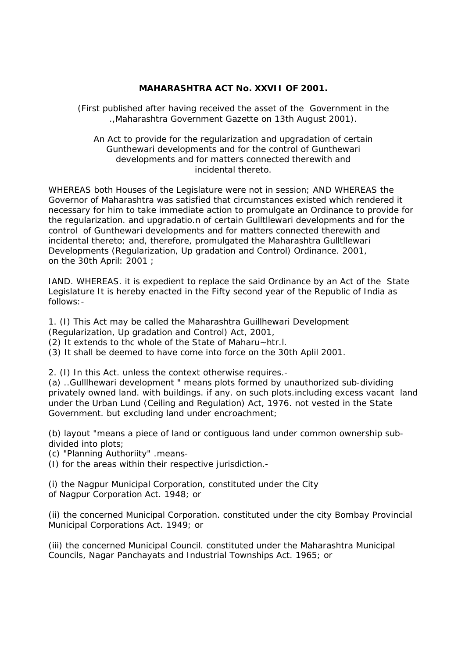## **MAHARASHTRA ACT No. XXVII OF 2001.**

(First published after having received the asset of the Government in the .,Maharashtra Government Gazette on 13th August 2001).

An Act to provide for the regularization and upgradation of certain Gunthewari developments and for the control of Gunthewari developments and for matters connected therewith and incidental thereto.

WHEREAS both Houses of the Legislature were not in session; AND WHEREAS the Governor of Maharashtra was satisfied that circumstances existed which rendered it necessary for him to take immediate action to promulgate an Ordinance to provide for the regularization. and upgradatio.n of certain Gulltllewari developments and for the control of Gunthewari developments and for matters connected therewith and incidental thereto; and, therefore, promulgated the Maharashtra Gulltllewari Developments (Regularization, Up gradation and Control) Ordinance. 2001, on the 30th April: 2001 ;

IAND. WHEREAS. it is expedient to replace the said Ordinance by an Act of the State Legislature It is hereby enacted in the Fifty second year of the Republic of India as follows:-

1. (I) This Act may be called the Maharashtra Guillhewari Development

(Regularization, Up gradation and Control) Act, 2001,

(2) It extends to thc whole of the State of Maharu~htr.l.

(3) It shall be deemed to have come into force on the 30th Aplil 2001.

2. (I) In this Act. unless the context otherwise requires.-

(a) ..Gulllhewari development " means plots formed by unauthorized sub-dividing privately owned land. with buildings. if any. on such plots.including excess vacant land under the Urban Lund (Ceiling and Regulation) Act, 1976. not vested in the State Government. but excluding land under encroachment;

(b) layout "means a piece of land or contiguous land under common ownership subdivided into plots;

(c) "Planning Authoriity" .means-

(I) for the areas within their respective jurisdiction.-

(i) the Nagpur Municipal Corporation, constituted under the City of Nagpur Corporation Act. 1948; or

(ii) the concerned Municipal Corporation. constituted under the city Bombay Provincial Municipal Corporations Act. 1949; or

(iii) the concerned Municipal Council. constituted under the Maharashtra Municipal Councils, Nagar Panchayats and Industrial Townships Act. 1965; or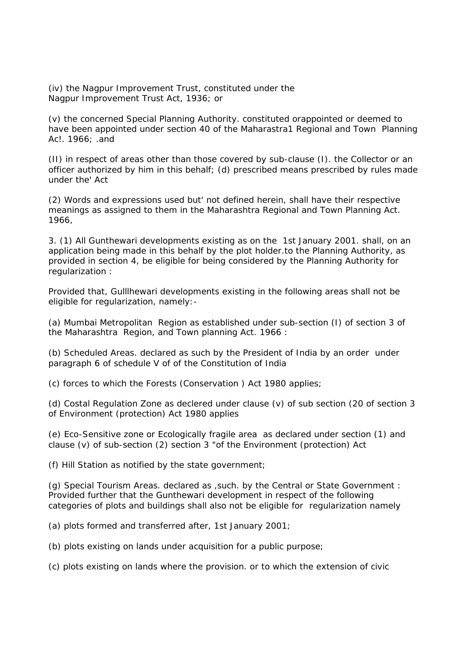(iv) the Nagpur Improvement Trust, constituted under the Nagpur Improvement Trust Act, 1936; or

(v) the concerned Special Planning Authority. constituted orappointed or deemed to have been appointed under section 40 of the Maharastra1 Regional and Town Planning Ac!. 1966; .and

(II) in respect of areas other than those covered by sub-clause (I). the Collector or an officer authorized by him in this behalf; (d) prescribed means prescribed by rules made under the' Act

(2) Words and expressions used but' not defined herein, shall have their respective meanings as assigned to them in the Maharashtra Regional and Town Planning Act. 1966,

3. (1) All Gunthewari developments existing as on the 1st January 2001. shall, on an application being made in this behalf by the plot holder.to the Planning Authority, as provided in section 4, be eligible for being considered by the Planning Authority for regularization :

Provided that, Gulllhewari developments existing in the following areas shall not be eligible for regularization, namely:-

(a) Mumbai Metropolitan Region as established under sub-section (I) of section 3 of the Maharashtra Region, and Town planning Act. 1966 :

(b) Scheduled Areas. declared as such by the President of India by an order under paragraph 6 of schedule V of of the Constitution of India

(c) forces to which the Forests (Conservation ) Act 1980 applies;

(d) Costal Regulation Zone as declered under clause (v) of sub section (20 of section 3 of Environment (protection) Act 1980 applies

(e) Eco-Sensitive zone or Ecologically fragile area as declared under section (1) and clause (v) of sub-section (2) section 3 "of the Environment (protection) Act

(f) Hill Station as notified by the state government;

(g) Special Tourism Areas. declared as ,such. by the Central or State Government : Provided further that the Gunthewari development in respect of the following categories of plots and buildings shall also not be eligible for regularization namely

(a) plots formed and transferred after, 1st January 2001;

(b) plots existing on lands under acquisition for a public purpose;

(c) plots existing on lands where the provision. or to which the extension of civic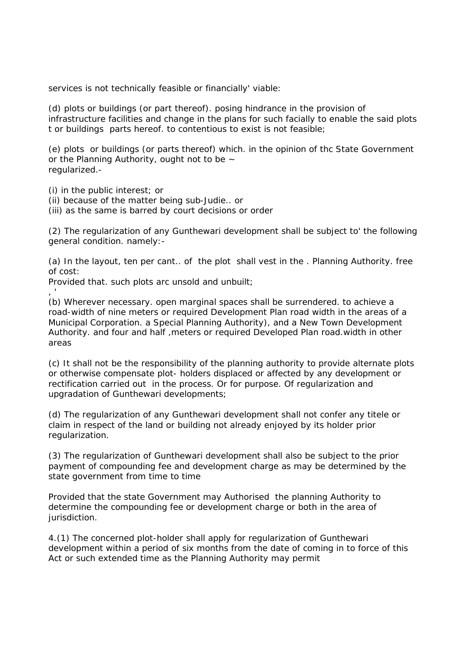services is not technically feasible or financially' viable:

(d) plots or buildings (or part thereof). posing hindrance in the provision of infrastructure facilities and change in the plans for such facially to enable the said plots t or buildings parts hereof. to contentious to exist is not feasible;

(e) plots or buildings (or parts thereof) which. in the opinion of thc State Government or the Planning Authority, ought not to be  $\sim$ regularized.-

(i) in the public interest; or

(ii) because of the matter being sub-Judie.. or

(iii) as the same is barred by court decisions or order

(2) The regularization of any Gunthewari development shall be subject to' the following general condition. namely:-

(a) In the layout, ten per cant.. of the plot shall vest in the . Planning Authority. free of cost:

Provided that. such plots arc unsold and unbuilt;

, '

(b) Wherever necessary. open marginal spaces shall be surrendered. to achieve a road-width of nine meters or required Development Plan road width in the areas of a Municipal Corporation. a Special Planning Authority), and a New Town Development Authority. and four and half ,meters or required Developed Plan road.width in other areas

(c) It shall not be the responsibility of the planning authority to provide alternate plots or otherwise compensate plot- holders displaced or affected by any development or rectification carried out in the process. Or for purpose. Of regularization and upgradation of Gunthewari developments;

(d) The regularization of any Gunthewari development shall not confer any titele or claim in respect of the land or building not already enjoyed by its holder prior regularization.

(3) The regularization of Gunthewari development shall also be subject to the prior payment of compounding fee and development charge as may be determined by the state government from time to time

Provided that the state Government may Authorised the planning Authority to determine the compounding fee or development charge or both in the area of jurisdiction.

4.(1) The concerned plot-holder shall apply for regularization of Gunthewari development within a period of six months from the date of coming in to force of this Act or such extended time as the Planning Authority may permit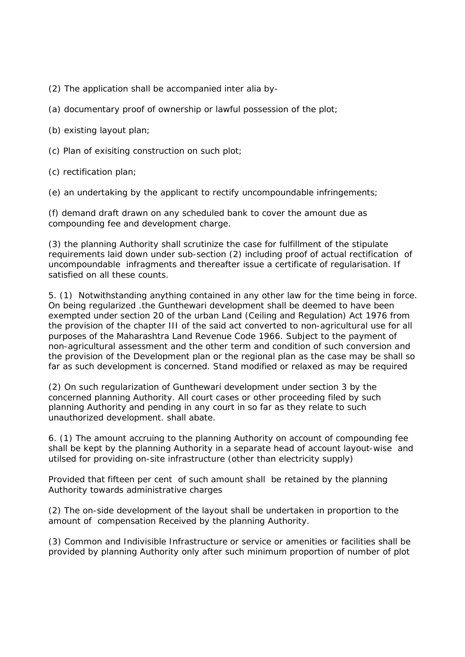(2) The application shall be accompanied *inter alia* by-

(a) documentary proof of ownership or lawful possession of the plot;

(b) existing layout plan;

(c) Plan of exisiting construction on such plot;

(c) rectification plan;

(e) an undertaking by the applicant to rectify uncompoundable infringements;

(f) demand draft drawn on any scheduled bank to cover the amount due as compounding fee and development charge.

(3) the planning Authority shall scrutinize the case for fulfillment of the stipulate requirements laid down under sub-section (2) including proof of actual rectification of uncompoundable infragments and thereafter issue a certificate of regularisation. If satisfied on all these counts.

5. (1) Notwithstanding anything contained in any other law for the time being in force. On being regularized .the Gunthewari development shall be deemed to have been exempted under section 20 of the urban Land (Ceiling and Regulation) Act 1976 from the provision of the chapter III of the said act converted to non-agricultural use for all purposes of the Maharashtra Land Revenue Code 1966. Subject to the payment of non-agricultural assessment and the other term and condition of such conversion and the provision of the Development plan or the regional plan as the case may be shall so far as such development is concerned. Stand modified or relaxed as may be required

(2) On such regularization of Gunthewari development under section 3 by the concerned planning Authority. All court cases or other proceeding filed by such planning Authority and pending in any court in so far as they relate to such unauthorized development. shall abate.

6. (1) The amount accruing to the planning Authority on account of compounding fee shall be kept by the planning Authority in a separate head of account layout-wise and utilsed for providing on-site infrastructure (other than electricity supply)

Provided that fifteen per cent of such amount shall be retained by the planning Authority towards administrative charges

(2) The on-side development of the layout shall be undertaken in proportion to the amount of compensation Received by the planning Authority.

(3) Common and Indivisible Infrastructure or service or amenities or facilities shall be provided by planning Authority only after such minimum proportion of number of plot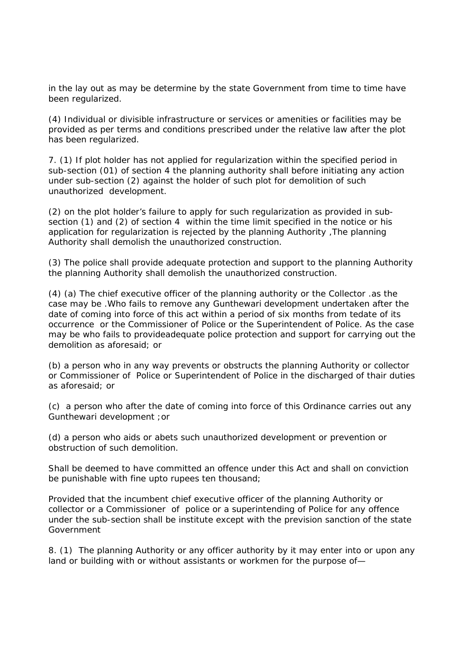in the lay out as may be determine by the state Government from time to time have been regularized.

(4) Individual or divisible infrastructure or services or amenities or facilities may be provided as per terms and conditions prescribed under the relative law after the plot has been regularized.

7. (1) If plot holder has not applied for regularization within the specified period in sub-section (01) of section 4 the planning authority shall before initiating any action under sub-section (2) against the holder of such plot for demolition of such unauthorized development.

(2) on the plot holder's failure to apply for such regularization as provided in subsection (1) and (2) of section 4 within the time limit specified in the notice or his application for regularization is rejected by the planning Authority ,The planning Authority shall demolish the unauthorized construction.

(3) The police shall provide adequate protection and support to the planning Authority the planning Authority shall demolish the unauthorized construction.

(4) (a) The chief executive officer of the planning authority or the Collector .as the case may be .Who fails to remove any Gunthewari development undertaken after the date of coming into force of this act within a period of six months from tedate of its occurrence or the Commissioner of Police or the Superintendent of Police. As the case may be who fails to provideadequate police protection and support for carrying out the demolition as aforesaid; or

(b) a person who in any way prevents or obstructs the planning Authority or collector or Commissioner of Police or Superintendent of Police in the discharged of thair duties as aforesaid; or

(c) a person who after the date of coming into force of this Ordinance carries out any Gunthewari development ;or

(d) a person who aids or abets such unauthorized development or prevention or obstruction of such demolition.

Shall be deemed to have committed an offence under this Act and shall on conviction be punishable with fine upto rupees ten thousand;

Provided that the incumbent chief executive officer of the planning Authority or collector or a Commissioner of police or a superintending of Police for any offence under the sub-section shall be institute except with the prevision sanction of the state Government

8. (1) The planning Authority or any officer authority by it may enter into or upon any land or building with or without assistants or workmen for the purpose of—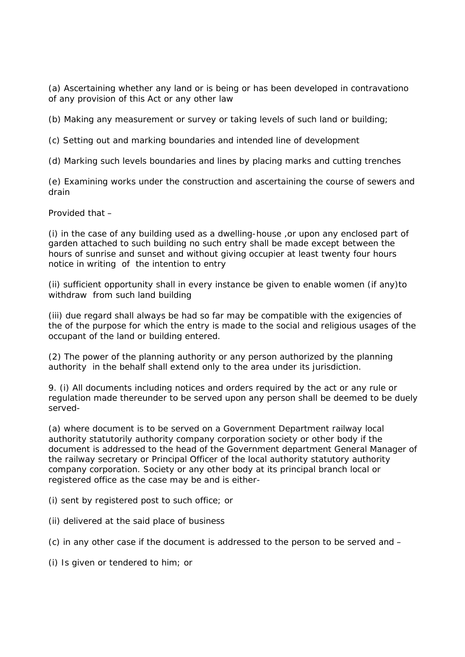(a) Ascertaining whether any land or is being or has been developed in contravationo of any provision of this Act or any other law

(b) Making any measurement or survey or taking levels of such land or building;

(c) Setting out and marking boundaries and intended line of development

(d) Marking such levels boundaries and lines by placing marks and cutting trenches

(e) Examining works under the construction and ascertaining the course of sewers and drain

Provided that –

(i) in the case of any building used as a dwelling-house ,or upon any enclosed part of garden attached to such building no such entry shall be made except between the hours of sunrise and sunset and without giving occupier at least twenty four hours notice in writing of the intention to entry

(ii) sufficient opportunity shall in every instance be given to enable women (if any)to withdraw from such land building

(iii) due regard shall always be had so far may be compatible with the exigencies of the of the purpose for which the entry is made to the social and religious usages of the occupant of the land or building entered.

(2) The power of the planning authority or any person authorized by the planning authority in the behalf shall extend only to the area under its jurisdiction.

9. (i) All documents including notices and orders required by the act or any rule or regulation made thereunder to be served upon any person shall be deemed to be duely served-

(a) where document is to be served on a Government Department railway local authority statutorily authority company corporation society or other body if the document is addressed to the head of the Government department General Manager of the railway secretary or Principal Officer of the local authority statutory authority company corporation. Society or any other body at its principal branch local or registered office as the case may be and is either-

(i) sent by registered post to such office; or

(ii) delivered at the said place of business

(c) in any other case if the document is addressed to the person to be served and –

(i) Is given or tendered to him; or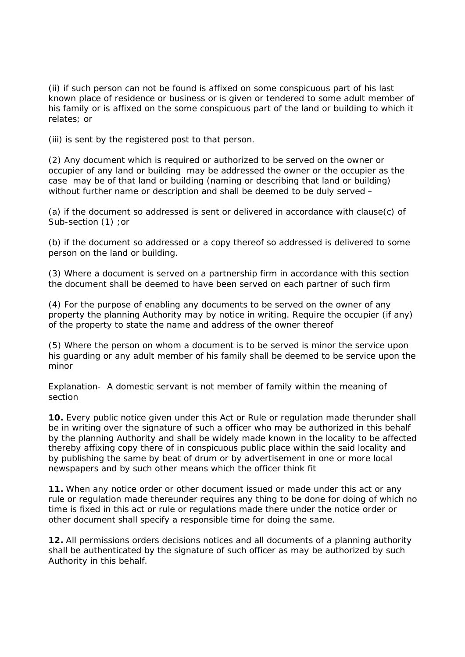(ii) if such person can not be found is affixed on some conspicuous part of his last known place of residence or business or is given or tendered to some adult member of his family or is affixed on the some conspicuous part of the land or building to which it relates; or

(iii) is sent by the registered post to that person.

(2) Any document which is required or authorized to be served on the owner or occupier of any land or building may be addressed the owner or the occupier as the case may be of that land or building (naming or describing that land or building) without further name or description and shall be deemed to be duly served -

(a) if the document so addressed is sent or delivered in accordance with clause(c) of Sub-section (1) ; or

(b) if the document so addressed or a copy thereof so addressed is delivered to some person on the land or building.

(3) Where a document is served on a partnership firm in accordance with this section the document shall be deemed to have been served on each partner of such firm

(4) For the purpose of enabling any documents to be served on the owner of any property the planning Authority may by notice in writing. Require the occupier (if any) of the property to state the name and address of the owner thereof

(5) Where the person on whom a document is to be served is minor the service upon his guarding or any adult member of his family shall be deemed to be service upon the minor

*Explanation-* A domestic servant is not member of family within the meaning of section

**10.** Every public notice given under this Act or Rule or regulation made therunder shall be in writing over the signature of such a officer who may be authorized in this behalf by the planning Authority and shall be widely made known in the locality to be affected thereby affixing copy there of in conspicuous public place within the said locality and by publishing the same by beat of drum or by advertisement in one or more local newspapers and by such other means which the officer think fit

**11.** When any notice order or other document issued or made under this act or any rule or regulation made thereunder requires any thing to be done for doing of which no time is fixed in this act or rule or regulations made there under the notice order or other document shall specify a responsible time for doing the same.

**12.** All permissions orders decisions notices and all documents of a planning authority shall be authenticated by the signature of such officer as may be authorized by such Authority in this behalf.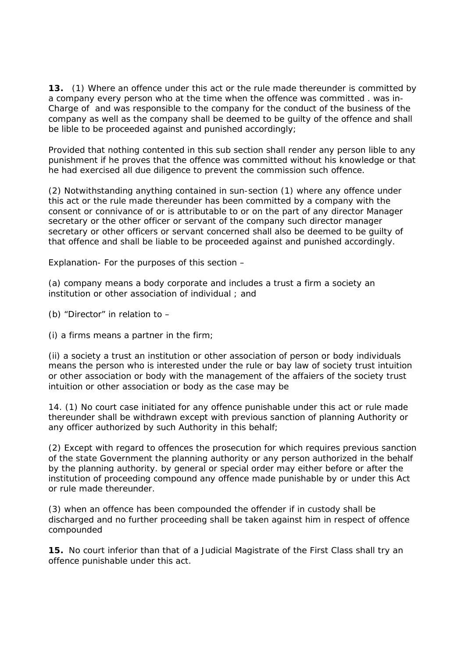**13.** (1) Where an offence under this act or the rule made thereunder is committed by a company every person who at the time when the offence was committed . was in-Charge of and was responsible to the company for the conduct of the business of the company as well as the company shall be deemed to be guilty of the offence and shall be lible to be proceeded against and punished accordingly;

Provided that nothing contented in this sub section shall render any person lible to any punishment if he proves that the offence was committed without his knowledge or that he had exercised all due diligence to prevent the commission such offence.

(2) Notwithstanding anything contained in sun-section (1) where any offence under this act or the rule made thereunder has been committed by a company with the consent or connivance of or is attributable to or on the part of any director Manager secretary or the other officer or servant of the company such director manager secretary or other officers or servant concerned shall also be deemed to be guilty of that offence and shall be liable to be proceeded against and punished accordingly.

Explanation- For the purposes of this section –

(a) company means a body corporate and includes a trust a firm a society an institution or other association of individual ; and

(b) "Director" in relation to –

(i) a firms means a partner in the firm;

(ii) a society a trust an institution or other association of person or body individuals means the person who is interested under the rule or bay law of society trust intuition or other association or body with the management of the affaiers of the society trust intuition or other association or body as the case may be

14. (1) No court case initiated for any offence punishable under this act or rule made thereunder shall be withdrawn except with previous sanction of planning Authority or any officer authorized by such Authority in this behalf;

(2) Except with regard to offences the prosecution for which requires previous sanction of the state Government the planning authority or any person authorized in the behalf by the planning authority. by general or special order may either before or after the institution of proceeding compound any offence made punishable by or under this Act or rule made thereunder.

(3) when an offence has been compounded the offender if in custody shall be discharged and no further proceeding shall be taken against him in respect of offence compounded

**15.** No court inferior than that of a Judicial Magistrate of the First Class shall try an offence punishable under this act.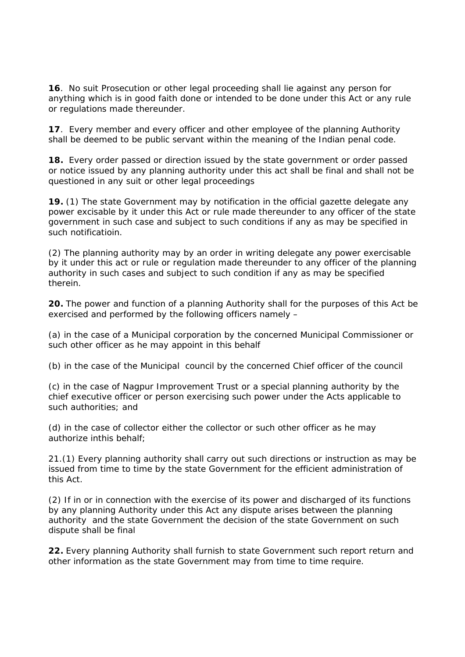**16**.No suit Prosecution or other legal proceeding shall lie against any person for anything which is in good faith done or intended to be done under this Act or any rule or regulations made thereunder.

**17**. Every member and every officer and other employee of the planning Authority shall be deemed to be public servant within the meaning of the Indian penal code.

**18.** Every order passed or direction issued by the state government or order passed or notice issued by any planning authority under this act shall be final and shall not be questioned in any suit or other legal proceedings

**19.** (1) The state Government may by notification in the official gazette delegate any power excisable by it under this Act or rule made thereunder to any officer of the state government in such case and subject to such conditions if any as may be specified in such notificatioin.

(2) The planning authority may by an order in writing delegate any power exercisable by it under this act or rule or regulation made thereunder to any officer of the planning authority in such cases and subject to such condition if any as may be specified therein.

**20.** The power and function of a planning Authority shall for the purposes of this Act be exercised and performed by the following officers namely –

(a) in the case of a Municipal corporation by the concerned Municipal Commissioner or such other officer as he may appoint in this behalf

(b) in the case of the Municipal council by the concerned Chief officer of the council

(c) in the case of Nagpur Improvement Trust or a special planning authority by the chief executive officer or person exercising such power under the Acts applicable to such authorities; and

(d) in the case of collector either the collector or such other officer as he may authorize inthis behalf;

21.(1) Every planning authority shall carry out such directions or instruction as may be issued from time to time by the state Government for the efficient administration of this Act.

(2) If in or in connection with the exercise of its power and discharged of its functions by any planning Authority under this Act any dispute arises between the planning authority and the state Government the decision of the state Government on such dispute shall be final

**22.** Every planning Authority shall furnish to state Government such report return and other information as the state Government may from time to time require.